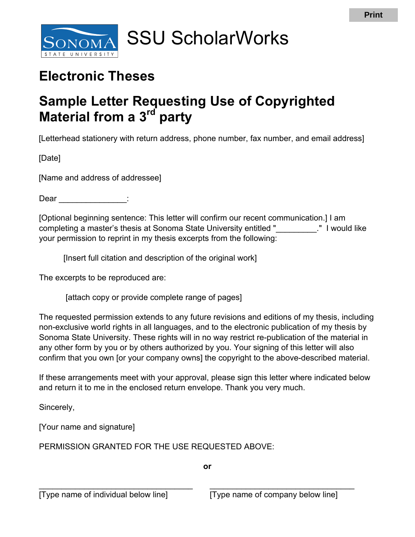

## SSU ScholarWorks

## **Electronic Theses**

## **Material from a 3rd party Sample Letter Requesting Use of Copyrighted**

[Letterhead stationery with return address, phone number, fax number, and email address]

[Date]

[Name and address of addressee]

Dear the control of the control of the control of the control of the control of the control of the control of the control of the control of the control of the control of the control of the control of the control of the con

 [Optional beginning sentence: This letter will confirm our recent communication.] I am completing a master's thesis at Sonoma State University entitled "\_\_\_\_\_\_\_\_\_." I would like your permission to reprint in my thesis excerpts from the following:

[Insert full citation and description of the original work]

The excerpts to be reproduced are:

[attach copy or provide complete range of pages]

 The requested permission extends to any future revisions and editions of my thesis, including non-exclusive world rights in all languages, and to the electronic publication of my thesis by Sonoma State University. These rights will in no way restrict re-publication of the material in any other form by you or by others authorized by you. Your signing of this letter will also confirm that you own [or your company owns] the copyright to the above-described material.

 If these arrangements meet with your approval, please sign this letter where indicated below and return it to me in the enclosed return envelope. Thank you very much.

Sincerely,

[Your name and signature]

PERMISSION GRANTED FOR THE USE REQUESTED ABOVE:

**or** 

\_\_\_\_\_\_\_\_\_\_\_\_\_\_\_\_\_\_\_\_\_\_\_\_\_\_\_\_\_\_\_\_\_\_ \_\_\_\_\_\_\_\_\_\_\_\_\_\_\_\_\_\_\_\_\_\_\_\_\_\_\_\_\_\_\_\_